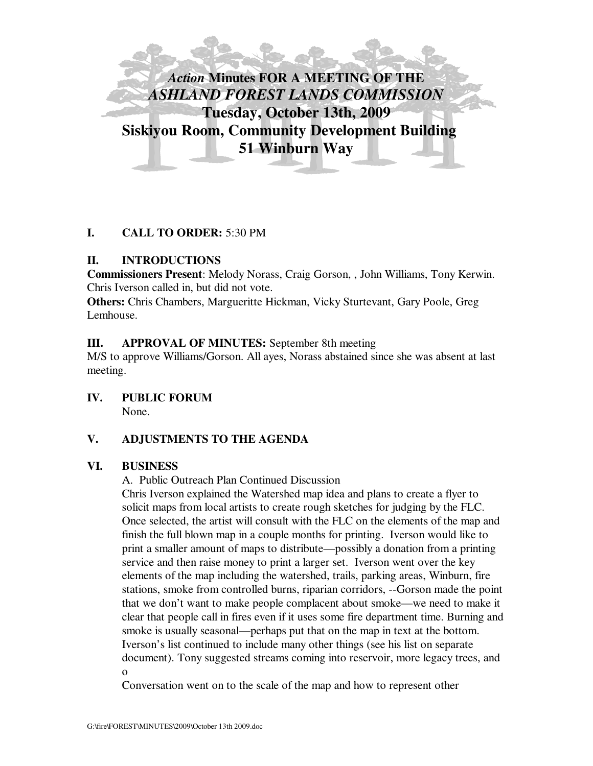

# **I. CALL TO ORDER:** 5:30 PM

# **II. INTRODUCTIONS**

**Commissioners Present**: Melody Norass, Craig Gorson, , John Williams, Tony Kerwin. Chris Iverson called in, but did not vote.

**Others:** Chris Chambers, Margueritte Hickman, Vicky Sturtevant, Gary Poole, Greg Lemhouse.

# **III. APPROVAL OF MINUTES:** September 8th meeting

M/S to approve Williams/Gorson. All ayes, Norass abstained since she was absent at last meeting.

**IV. PUBLIC FORUM**  None.

# **V. ADJUSTMENTS TO THE AGENDA**

## **VI. BUSINESS**

A. Public Outreach Plan Continued Discussion

Chris Iverson explained the Watershed map idea and plans to create a flyer to solicit maps from local artists to create rough sketches for judging by the FLC. Once selected, the artist will consult with the FLC on the elements of the map and finish the full blown map in a couple months for printing. Iverson would like to print a smaller amount of maps to distribute—possibly a donation from a printing service and then raise money to print a larger set. Iverson went over the key elements of the map including the watershed, trails, parking areas, Winburn, fire stations, smoke from controlled burns, riparian corridors, --Gorson made the point that we don't want to make people complacent about smoke—we need to make it clear that people call in fires even if it uses some fire department time. Burning and smoke is usually seasonal—perhaps put that on the map in text at the bottom. Iverson's list continued to include many other things (see his list on separate document). Tony suggested streams coming into reservoir, more legacy trees, and o

Conversation went on to the scale of the map and how to represent other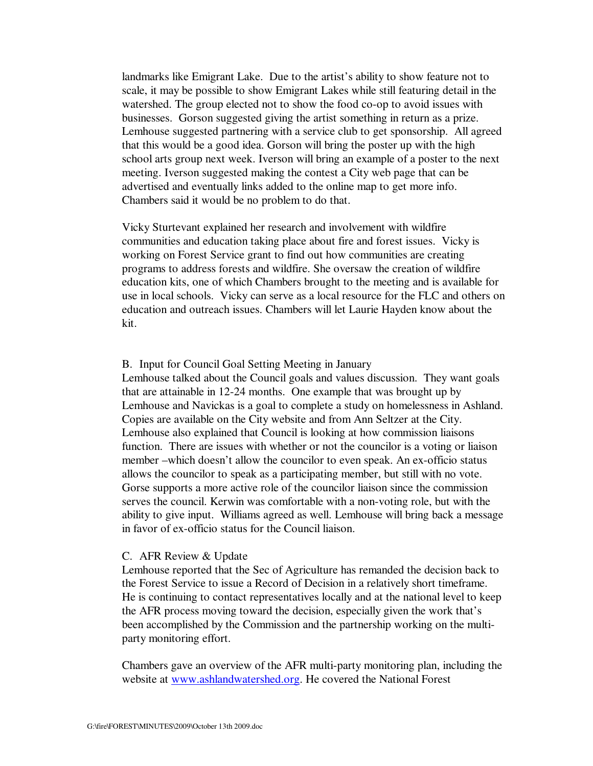landmarks like Emigrant Lake. Due to the artist's ability to show feature not to scale, it may be possible to show Emigrant Lakes while still featuring detail in the watershed. The group elected not to show the food co-op to avoid issues with businesses. Gorson suggested giving the artist something in return as a prize. Lemhouse suggested partnering with a service club to get sponsorship. All agreed that this would be a good idea. Gorson will bring the poster up with the high school arts group next week. Iverson will bring an example of a poster to the next meeting. Iverson suggested making the contest a City web page that can be advertised and eventually links added to the online map to get more info. Chambers said it would be no problem to do that.

Vicky Sturtevant explained her research and involvement with wildfire communities and education taking place about fire and forest issues. Vicky is working on Forest Service grant to find out how communities are creating programs to address forests and wildfire. She oversaw the creation of wildfire education kits, one of which Chambers brought to the meeting and is available for use in local schools. Vicky can serve as a local resource for the FLC and others on education and outreach issues. Chambers will let Laurie Hayden know about the kit.

### B. Input for Council Goal Setting Meeting in January

Lemhouse talked about the Council goals and values discussion. They want goals that are attainable in 12-24 months. One example that was brought up by Lemhouse and Navickas is a goal to complete a study on homelessness in Ashland. Copies are available on the City website and from Ann Seltzer at the City. Lemhouse also explained that Council is looking at how commission liaisons function. There are issues with whether or not the councilor is a voting or liaison member –which doesn't allow the councilor to even speak. An ex-officio status allows the councilor to speak as a participating member, but still with no vote. Gorse supports a more active role of the councilor liaison since the commission serves the council. Kerwin was comfortable with a non-voting role, but with the ability to give input. Williams agreed as well. Lemhouse will bring back a message in favor of ex-officio status for the Council liaison.

#### C. AFR Review & Update

Lemhouse reported that the Sec of Agriculture has remanded the decision back to the Forest Service to issue a Record of Decision in a relatively short timeframe. He is continuing to contact representatives locally and at the national level to keep the AFR process moving toward the decision, especially given the work that's been accomplished by the Commission and the partnership working on the multiparty monitoring effort.

Chambers gave an overview of the AFR multi-party monitoring plan, including the website at www.ashlandwatershed.org. He covered the National Forest